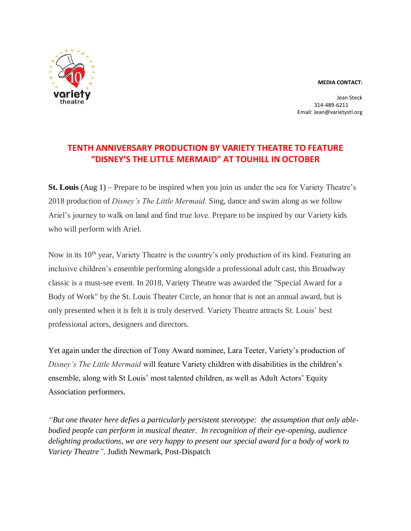## **MEDIA CONTACT:**



Jean Steck 314-489-6211 Email: Jean@varietystl.org

## **TENTH ANNIVERSARY PRODUCTION BY VARIETY THEATRE TO FEATURE "DISNEY'S THE LITTLE MERMAID" AT TOUHILL IN OCTOBER**

**St. Louis** (Aug 1) – Prepare to be inspired when you join us under the sea for Variety Theatre's 2018 production of *Disney's The Little Mermaid.* Sing, dance and swim along as we follow Ariel's journey to walk on land and find true love. Prepare to be inspired by our Variety kids who will perform with Ariel.

Now in its 10th year, Variety Theatre is the country's only production of its kind. Featuring an inclusive children's ensemble performing alongside a professional adult cast, this Broadway classic is a must-see event. In 2018, Variety Theatre was awarded the "Special Award for a Body of Work" by the St. Louis Theater Circle, an honor that is not an annual award, but is only presented when it is felt it is truly deserved. Variety Theatre attracts St. Louis' best professional actors, designers and directors.

Yet again under the direction of Tony Award nominee, Lara Teeter, Variety's production of *Disney's The Little Mermaid* will feature Variety children with disabilities in the children's ensemble, along with St Louis' most talented children, as well as Adult Actors' Equity Association performers.

*"But one theater here defies a particularly persistent stereotype: the assumption that only ablebodied people can perform in musical theater. In recognition of their eye-opening, audience delighting productions, we are very happy to present our special award for a body of work to Variety Theatre".* Judith Newmark, Post-Dispatch